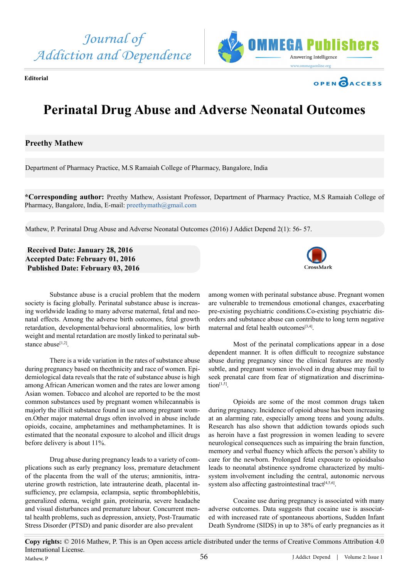







# **Perinatal Drug Abuse and Adverse Neonatal Outcomes**

## **Preethy Mathew**

Department of Pharmacy Practice, M.S Ramaiah College of Pharmacy, Bangalore, India

**\*Corresponding author:** Preethy Mathew, Assistant Professor, Department of Pharmacy Practice, M.S Ramaiah College of Pharmacy, Bangalore, India, E-mail: [preethymath@gmail.com](mailto:preethymath@gmail.com)

Mathew, P. Perinatal Drug Abuse and Adverse Neonatal Outcomes (2016) J Addict Depend 2(1): 56- 57.

### **Received Date: January 28, 2016 Accepted Date: February 01, 2016 Published Date: February 03, 2016**



Substance abuse is a crucial problem that the modern society is facing globally. Perinatal substance abuse is increasing worldwide leading to many adverse maternal, fetal and neonatal effects. Among the adverse birth outcomes, fetal growth retardation, developmental/behavioral abnormalities, low birth weight and mental retardation are mostly linked to perinatal substance abuse<sup>[1,2]</sup>.

There is a wide variation in the rates of substance abuse during pregnancy based on theethnicity and race of women. Epidemiological data reveals that the rate of substance abuse is high among African American women and the rates are lower among Asian women. Tobacco and alcohol are reported to be the most common substances used by pregnant women whilecannabis is majorly the illicit substance found in use among pregnant women.Other major maternal drugs often involved in abuse include opioids, cocaine, amphetamines and methamphetamines. It is estimated that the neonatal exposure to alcohol and illicit drugs before delivery is about 11%.

Drug abuse during pregnancy leads to a variety of complications such as early pregnancy loss, premature detachment of the placenta from the wall of the uterus; amnionitis, intrauterine growth restriction, late intrauterine death, placental insufficiency, pre eclampsia, eclampsia, septic thrombophlebitis, generalized edema, weight gain, proteinuria, severe headache and visual disturbances and premature labour. Concurrent mental health problems, such as depression, anxiety, Post-Traumatic Stress Disorder (PTSD) and panic disorder are also prevalent

among women with perinatal substance abuse. Pregnant women are vulnerable to tremendous emotional changes, exacerbating pre-existing psychiatric conditions.Co-existing psychiatric disorders and substance abuse can contribute to long term negative maternal and fetal health outcomes[\[3,4\].](#page-1-1)

Most of the perinatal complications appear in a dose dependent manner. It is often difficult to recognize substance abuse during pregnancy since the clinical features are mostly subtle, and pregnant women involved in drug abuse may fail to seek prenatal care from fear of stigmatization and discrimina $tion<sup>[1,5]</sup>$ .

Opioids are some of the most common drugs taken during pregnancy. Incidence of opioid abuse has been increasing at an alarming rate, especially among teens and young adults. Research has also shown that addiction towards opiods such as heroin have a fast progression in women leading to severe neurological consequences such as impairing the brain function, memory and verbal fluency which affects the person's ability to care for the newborn. Prolonged fetal exposure to opioidsalso leads to neonatal abstinence syndrome characterized by multisystem involvement including the central, autonomic nervous system also affecting gastrointestinal tract<sup>[\[4,5,6\]](#page-1-2)</sup>.

Cocaine use during pregnancy is associated with many adverse outcomes. Data suggests that cocaine use is associated with increased rate of spontaneous abortions, Sudden Infant Death Syndrome (SIDS) in up to 38% of early pregnancies as it

**Copy rights:** © 2016 Mathew, P. This is an Open access article distributed under the terms of Creative Commons Attribution 4.0 International License. Mathew, P